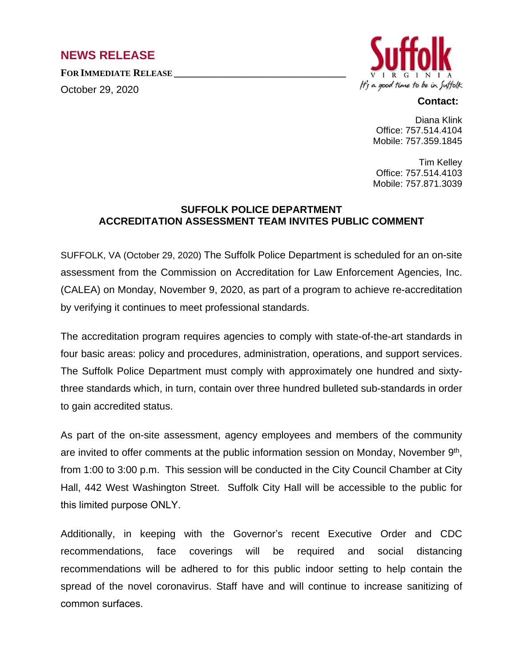## **NEWS RELEASE**

**FOR IMMEDIATE RELEASE \_\_\_\_\_\_\_\_\_\_\_\_\_\_\_\_\_\_\_\_\_\_\_\_\_\_\_\_\_\_\_\_\_\_**

October 29, 2020



## **Contact:**

Diana Klink Office: 757.514.4104 Mobile: 757.359.1845

Tim Kelley Office: 757.514.4103 Mobile: 757.871.3039

## **SUFFOLK POLICE DEPARTMENT ACCREDITATION ASSESSMENT TEAM INVITES PUBLIC COMMENT**

SUFFOLK, VA (October 29, 2020) The Suffolk Police Department is scheduled for an on-site assessment from the Commission on Accreditation for Law Enforcement Agencies, Inc. (CALEA) on Monday, November 9, 2020, as part of a program to achieve re-accreditation by verifying it continues to meet professional standards.

The accreditation program requires agencies to comply with state-of-the-art standards in four basic areas: policy and procedures, administration, operations, and support services. The Suffolk Police Department must comply with approximately one hundred and sixtythree standards which, in turn, contain over three hundred bulleted sub-standards in order to gain accredited status.

As part of the on-site assessment, agency employees and members of the community are invited to offer comments at the public information session on Monday, November 9<sup>th</sup>, from 1:00 to 3:00 p.m. This session will be conducted in the City Council Chamber at City Hall, 442 West Washington Street. Suffolk City Hall will be accessible to the public for this limited purpose ONLY.

Additionally, in keeping with the Governor's recent Executive Order and CDC recommendations, face coverings will be required and social distancing recommendations will be adhered to for this public indoor setting to help contain the spread of the novel coronavirus. Staff have and will continue to increase sanitizing of common surfaces.